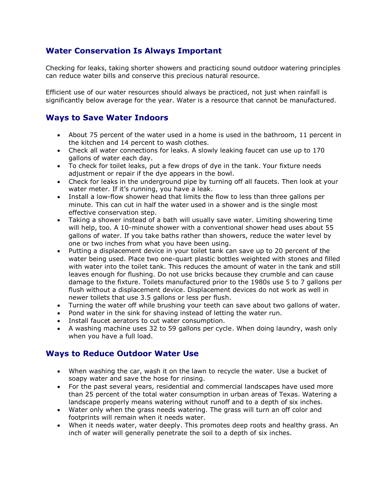## **Water Conservation Is Always Important**

Checking for leaks, taking shorter showers and practicing sound outdoor watering principles can reduce water bills and conserve this precious natural resource.

Efficient use of our water resources should always be practiced, not just when rainfall is significantly below average for the year. Water is a resource that cannot be manufactured.

## **Ways to Save Water Indoors**

- About 75 percent of the water used in a home is used in the bathroom, 11 percent in the kitchen and 14 percent to wash clothes.
- Check all water connections for leaks. A slowly leaking faucet can use up to 170 gallons of water each day.
- To check for toilet leaks, put a few drops of dye in the tank. Your fixture needs adjustment or repair if the dye appears in the bowl.
- Check for leaks in the underground pipe by turning off all faucets. Then look at your water meter. If it's running, you have a leak.
- Install a low-flow shower head that limits the flow to less than three gallons per minute. This can cut in half the water used in a shower and is the single most effective conservation step.
- Taking a shower instead of a bath will usually save water. Limiting showering time will help, too. A 10-minute shower with a conventional shower head uses about 55 gallons of water. If you take baths rather than showers, reduce the water level by one or two inches from what you have been using.
- Putting a displacement device in your toilet tank can save up to 20 percent of the water being used. Place two one-quart plastic bottles weighted with stones and filled with water into the toilet tank. This reduces the amount of water in the tank and still leaves enough for flushing. Do not use bricks because they crumble and can cause damage to the fixture. Toilets manufactured prior to the 1980s use 5 to 7 gallons per flush without a displacement device. Displacement devices do not work as well in newer toilets that use 3.5 gallons or less per flush.
- Turning the water off while brushing your teeth can save about two gallons of water.
- Pond water in the sink for shaving instead of letting the water run.
- Install faucet aerators to cut water consumption.
- A washing machine uses 32 to 59 gallons per cycle. When doing laundry, wash only when you have a full load.

## **Ways to Reduce Outdoor Water Use**

- When washing the car, wash it on the lawn to recycle the water. Use a bucket of soapy water and save the hose for rinsing.
- For the past several years, residential and commercial landscapes have used more than 25 percent of the total water consumption in urban areas of Texas. Watering a landscape properly means watering without runoff and to a depth of six inches.
- Water only when the grass needs watering. The grass will turn an off color and footprints will remain when it needs water.
- When it needs water, water deeply. This promotes deep roots and healthy grass. An inch of water will generally penetrate the soil to a depth of six inches.